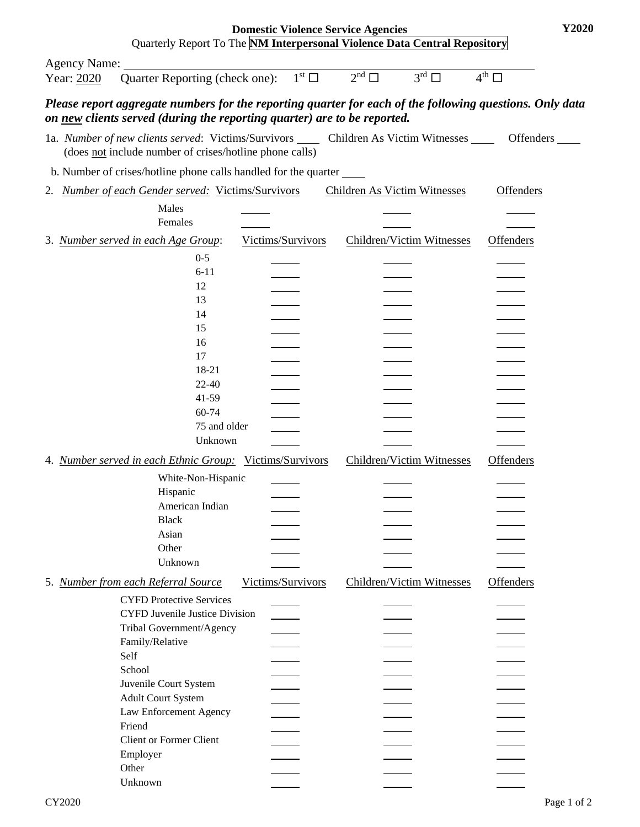| Y2020<br><b>Domestic Violence Service Agencies</b><br>Quarterly Report To The NM Interpersonal Violence Data Central Repository |                                                                          |                     |                                                                                  |                                                                                                          |  |
|---------------------------------------------------------------------------------------------------------------------------------|--------------------------------------------------------------------------|---------------------|----------------------------------------------------------------------------------|----------------------------------------------------------------------------------------------------------|--|
| Agency Name:<br>Year: 2020                                                                                                      | Quarter Reporting (check one):                                           | $1^{\rm st}$ $\Box$ | $2^{\text{nd}}\Box$<br>$3^{\text{rd}}$ $\Box$                                    | $4^{\text{th}}$ $\Box$                                                                                   |  |
|                                                                                                                                 |                                                                          |                     |                                                                                  |                                                                                                          |  |
|                                                                                                                                 | on new clients served (during the reporting quarter) are to be reported. |                     |                                                                                  | Please report aggregate numbers for the reporting quarter for each of the following questions. Only data |  |
|                                                                                                                                 | (does not include number of crises/hotline phone calls)                  |                     | 1a. Number of new clients served: Victims/Survivors Children As Victim Witnesses | Offenders                                                                                                |  |
|                                                                                                                                 | b. Number of crises/hotline phone calls handled for the quarter          |                     |                                                                                  |                                                                                                          |  |
| 2.                                                                                                                              | <b>Number of each Gender served: Victims/Survivors</b>                   |                     | Children As Victim Witnesses                                                     | <b>Offenders</b>                                                                                         |  |
|                                                                                                                                 | Males<br>Females                                                         |                     |                                                                                  |                                                                                                          |  |
|                                                                                                                                 |                                                                          |                     |                                                                                  |                                                                                                          |  |
|                                                                                                                                 | 3. Number served in each Age Group:                                      | Victims/Survivors   | Children/Victim Witnesses                                                        | Offenders                                                                                                |  |
|                                                                                                                                 | $0 - 5$                                                                  |                     |                                                                                  |                                                                                                          |  |
|                                                                                                                                 | $6 - 11$                                                                 |                     |                                                                                  |                                                                                                          |  |
|                                                                                                                                 | 12                                                                       |                     |                                                                                  |                                                                                                          |  |
|                                                                                                                                 | 13<br>14                                                                 |                     |                                                                                  |                                                                                                          |  |
|                                                                                                                                 | 15                                                                       |                     |                                                                                  |                                                                                                          |  |
|                                                                                                                                 | 16                                                                       |                     |                                                                                  |                                                                                                          |  |
|                                                                                                                                 | 17                                                                       |                     |                                                                                  |                                                                                                          |  |
|                                                                                                                                 | 18-21                                                                    |                     |                                                                                  |                                                                                                          |  |
|                                                                                                                                 | $22 - 40$                                                                |                     |                                                                                  |                                                                                                          |  |
|                                                                                                                                 | 41-59                                                                    |                     |                                                                                  |                                                                                                          |  |
|                                                                                                                                 | 60-74                                                                    |                     |                                                                                  |                                                                                                          |  |
|                                                                                                                                 | 75 and older                                                             |                     |                                                                                  |                                                                                                          |  |
|                                                                                                                                 | Unknown                                                                  |                     |                                                                                  |                                                                                                          |  |
|                                                                                                                                 | 4. Number served in each Ethnic Group: Victims/Survivors                 |                     | Children/Victim Witnesses                                                        | Offenders                                                                                                |  |
|                                                                                                                                 | White-Non-Hispanic                                                       |                     |                                                                                  |                                                                                                          |  |
|                                                                                                                                 | Hispanic                                                                 |                     |                                                                                  |                                                                                                          |  |
|                                                                                                                                 | American Indian                                                          |                     |                                                                                  |                                                                                                          |  |
|                                                                                                                                 | <b>Black</b>                                                             |                     |                                                                                  |                                                                                                          |  |
|                                                                                                                                 | Asian                                                                    |                     |                                                                                  |                                                                                                          |  |
|                                                                                                                                 | Other                                                                    |                     |                                                                                  |                                                                                                          |  |
|                                                                                                                                 | Unknown                                                                  |                     |                                                                                  |                                                                                                          |  |
|                                                                                                                                 | 5. Number from each Referral Source<br><b>CYFD Protective Services</b>   | Victims/Survivors   | <b>Children/Victim Witnesses</b>                                                 | <b>Offenders</b>                                                                                         |  |
|                                                                                                                                 | <b>CYFD Juvenile Justice Division</b>                                    |                     |                                                                                  |                                                                                                          |  |
|                                                                                                                                 | Tribal Government/Agency                                                 |                     |                                                                                  |                                                                                                          |  |
|                                                                                                                                 | Family/Relative                                                          |                     |                                                                                  |                                                                                                          |  |
|                                                                                                                                 | Self                                                                     |                     |                                                                                  |                                                                                                          |  |
|                                                                                                                                 | School                                                                   |                     |                                                                                  |                                                                                                          |  |
|                                                                                                                                 | Juvenile Court System                                                    |                     |                                                                                  |                                                                                                          |  |
|                                                                                                                                 | <b>Adult Court System</b>                                                |                     |                                                                                  |                                                                                                          |  |
|                                                                                                                                 | Law Enforcement Agency                                                   |                     |                                                                                  |                                                                                                          |  |
|                                                                                                                                 | Friend                                                                   |                     |                                                                                  |                                                                                                          |  |
|                                                                                                                                 | <b>Client or Former Client</b>                                           |                     |                                                                                  |                                                                                                          |  |
|                                                                                                                                 | Employer                                                                 |                     |                                                                                  |                                                                                                          |  |
|                                                                                                                                 | Other                                                                    |                     |                                                                                  |                                                                                                          |  |
|                                                                                                                                 | Unknown                                                                  |                     |                                                                                  |                                                                                                          |  |